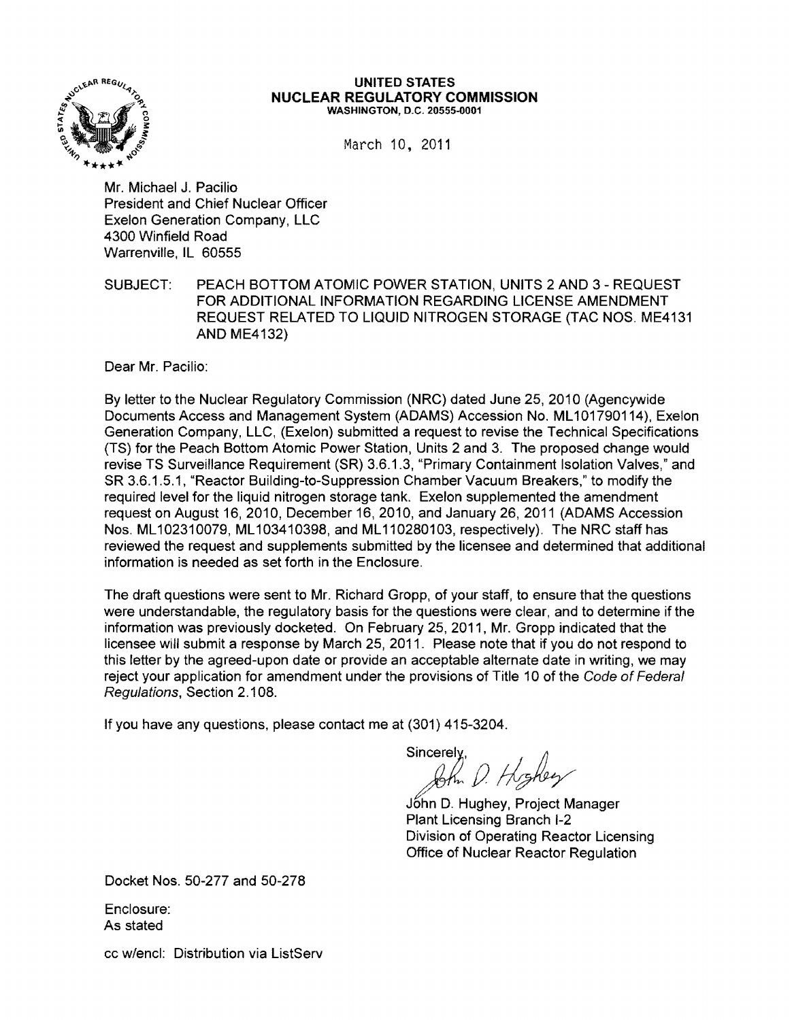

#### UNITED STATES NUCLEAR REGULATORY COMMISSION WASHINGTON, D.C. 20555-0001

March 10, 2011

Mr. Michael J. Pacilio President and Chief Nuclear Officer Exelon Generation Company, LLC 4300 Winfield Road Warrenville, IL 60555

SUBJECT: PEACH BOTTOM ATOMIC POWER STATION, UNITS 2 AND 3 - REQUEST FOR ADDITIONAL INFORMATION REGARDING LICENSE AMENDMENT REQUEST RELATED TO LIQUID NITROGEN STORAGE (TAC NOS. ME4131 AND ME4132)

Dear Mr. Pacilio:

By letter to the Nuclear Regulatory Commission (NRC) dated June 25, 2010 (Agencywide Documents Access and Management System (ADAMS) Accession No. ML101790114), Exelon Generation Company, LLC, (Exelon) submitted a request to revise the Technical Specifications (TS) for the Peach Bottom Atomic Power Station, Units 2 and 3. The proposed change would revise TS Surveillance Requirement (SR) 3.6.1.3, "Primary Containment Isolation Valves," and SR 3.6.1.5.1, "Reactor Building-to-Suppression Chamber Vacuum Breakers," to modify the required level for the liquid nitrogen storage tank. Exelon supplemented the amendment request on August 16, 2010, December 16,2010, and January 26,2011 (ADAMS Accession Nos. ML 102310079, ML 103410398, and ML 110280103, respectively). The NRC staff has reviewed the request and supplements submitted by the licensee and determined that additional information is needed as set forth in the Enclosure.

The draft questions were sent to Mr. Richard Gropp, of your staff, to ensure that the questions were understandable, the regulatory basis for the questions were clear, and to determine if the information was previously docketed. On February 25, 2011, Mr. Gropp indicated that the licensee will submit a response by March 25, 2011. Please note that if you do not respond to this letter by the agreed-upon date or provide an acceptable alternate date in writing, we may reject your application for amendment under the provisions of Title 10 of the Code of Federal Regulations, Section 2.108.

If you have any questions, please contact me at (301) 415-3204.

Sincerely. Ru D. Highey

Jóhn D. Hughey, Project Manager Plant Licensing Branch 1-2 Division of Operating Reactor Licensing Office of Nuclear Reactor Regulation

Docket Nos. 50-277 and 50-278

Enclosure: As stated

cc w/encl: Distribution via ListServ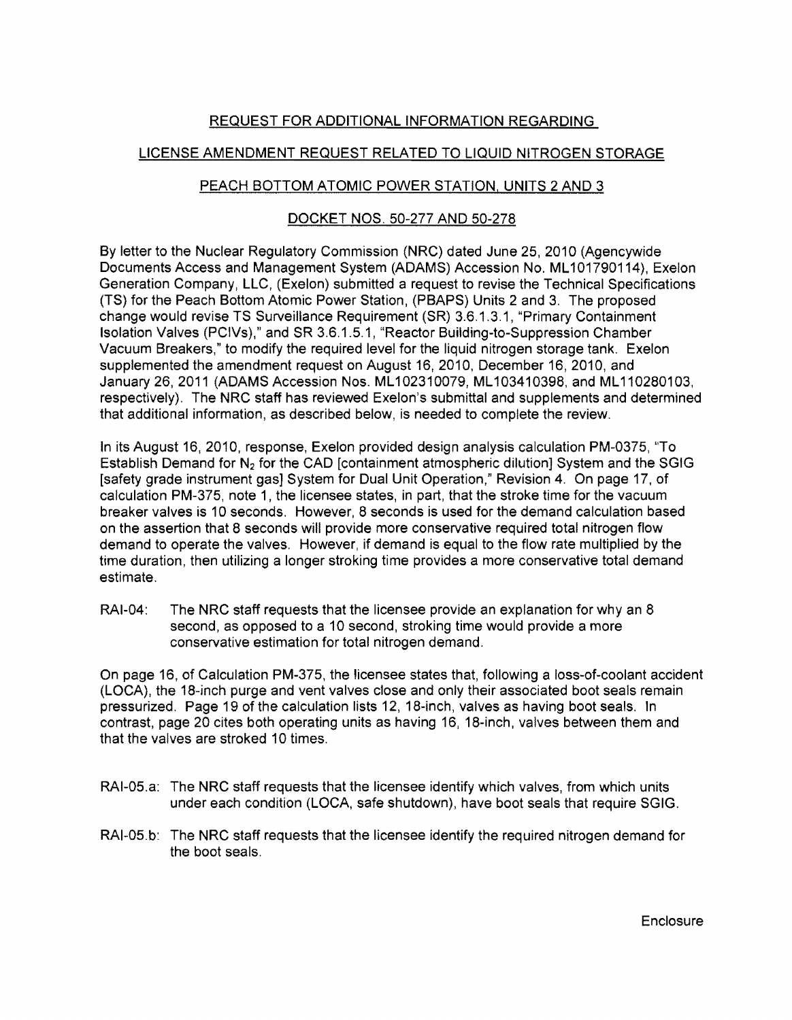## REQUEST FOR ADDITIONAL INFORMATION REGARDING

# LICENSE AMENDMENT REQUEST RELATED TO LIQUID NITROGEN STORAGE

### PEACH BOTTOM ATOMIC POWER STATION, UNITS 2 AND 3

#### DOCKET NOS. 50~277 AND 50-278

By letter to the Nuclear Regulatory Commission (NRC) dated June 25,2010 (Agencywide Documents Access and Management System (ADAMS) Accession No. ML 101790114), Exelon Generation Company, LLC, (Exelon) submitted a request to revise the Technical Specifications (TS) for the Peach Bottom Atomic Power Station, (PBAPS) Units 2 and 3. The proposed change would revise TS Surveillance Requirement (SR) 3.6.1.3.1, "Primary Containment Isolation Valves (PCIVs)," and SR 3.6.1.5.1, "Reactor Building-to-Suppression Chamber Vacuum Breakers," to modify the required level for the liquid nitrogen storage tank. Exelon supplemented the amendment request on August 16, 2010, December 16, 2010, and January 26,2011 (ADAMS Accession Nos. ML 102310079, ML 103410398, and ML 110280103, respectively). The NRC staff has reviewed Exelon's submittal and supplements and determined that additional information, as described below, is needed to complete the review.

In its August 16, 2010, response, Exelon provided design analysis calculation PM~0375, "To Establish Demand for  $N<sub>2</sub>$  for the CAD [containment atmospheric dilution] System and the SGIG [safety grade instrument gas] System for Dual Unit Operation," Revision 4. On page 17, of calculation PM~375, note 1, the licensee states, in part, that the stroke time for the vacuum breaker valves is 10 seconds. However, 8 seconds is used for the demand calculation based on the assertion that 8 seconds will provide more conservative required total nitrogen flow demand to operate the valves. However, if demand is equal to the flow rate multiplied by the time duration, then utilizing a longer stroking time provides a more conservative total demand estimate.

RAI-04: The NRC staff requests that the licensee provide an explanation for why an 8 second, as opposed to a 10 second, stroking time would provide a more conservative estimation for total nitrogen demand.

On page 16, of Calculation PM~375, the licensee states that, following a loss-of-coolant accident (LOCA), the 18~inch purge and vent valves close and only their associated boot seals remain pressurized. Page 19 of the calculation lists 12, 18-inch, valves as having boot seals. In contrast, page 20 cites both operating units as having 16, 18-inch, valves between them and that the valves are stroked 10 times.

- RAI-05.a: The NRC staff requests that the licensee identify which valves, from which units under each condition (LOCA, safe shutdown), have boot seals that require SGIG.
- RAI-05.b: The NRC staff requests that the licensee identify the required nitrogen demand for the boot seals.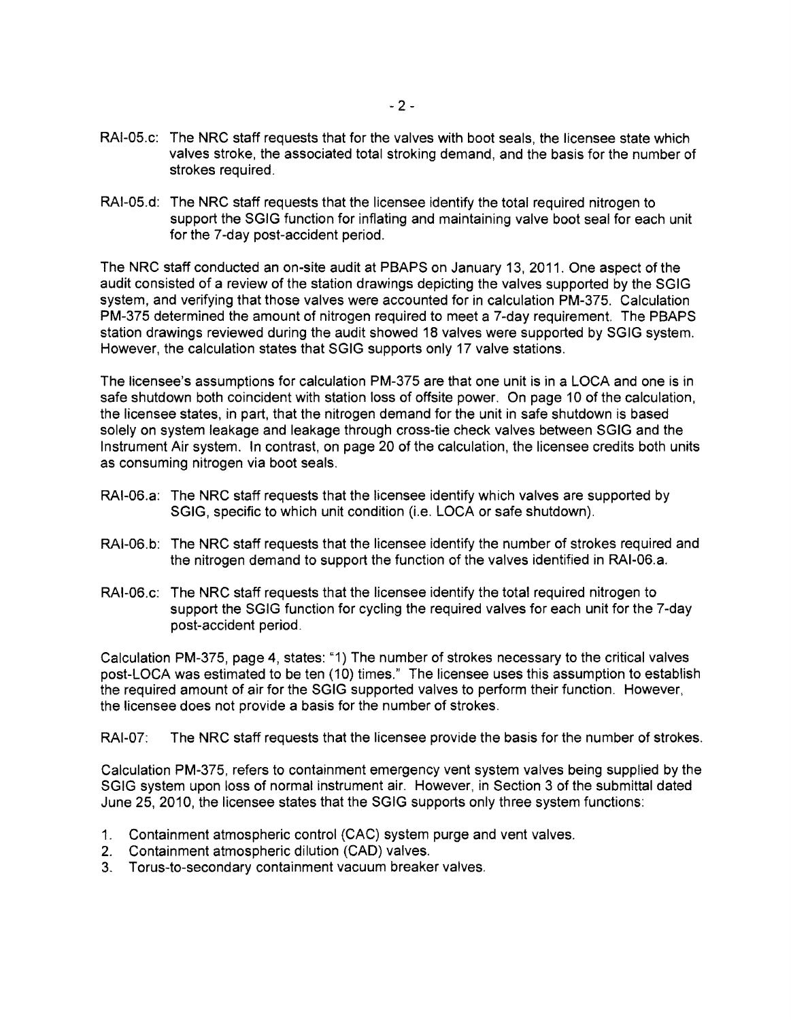- RAI-05.c: The NRC staff requests that for the valves with boot seals, the licensee state which valves stroke, the associated total stroking demand, and the basis for the number of strokes required.
- RAI-05.d: The NRC staff requests that the licensee identify the total required nitrogen to support the SGIG function for inflating and maintaining valve boot seal for each unit for the 7-day post-accident period.

The NRC staff conducted an on-site audit at PBAPS on January 13, 2011. One aspect of the audit consisted of a review of the station drawings depicting the valves supported by the SGIG system, and verifying that those valves were accounted for in calculation PM-375. Calculation PM-375 determined the amount of nitrogen required to meet a 7-day requirement. The PBAPS station drawings reviewed during the audit showed 18 valves were supported by SGIG system. However, the calculation states that SGIG supports only 17 valve stations.

The licensee's assumptions for calculation PM-375 are that one unit is in a LOCA and one is in safe shutdown both coincident with station loss of offsite power. On page 10 of the calculation, the licensee states, in part, that the nitrogen demand for the unit in safe shutdown is based solely on system leakage and leakage through cross-tie check valves between SGIG and the Instrument Air system. In contrast, on page 20 of the calculation, the licensee credits both units as consuming nitrogen via boot seals.

- RAI-06.a: The NRC staff requests that the licensee identify which valves are supported by SGIG, specific to which unit condition (i.e. LOCA or safe shutdown).
- RAI-06.b: The NRC staff requests that the licensee identify the number of strokes required and the nitrogen demand to support the function of the valves identified in RAI-06.a.
- RAI-06.c: The NRC staff requests that the licensee identify the total required nitrogen to support the SGIG function for cycling the required valves for each unit for the 7-day post-accident period.

Calculation PM-375, page 4, states: "1) The number of strokes necessary to the critical valves post-LOCA was estimated to be ten (10) times." The licensee uses this assumption to establish the required amount of air for the SGIG supported valves to perform their function. However, the licensee does not provide a basis for the number of strokes.

RAI-07: The NRC staff requests that the licensee provide the basis for the number of strokes.

Calculation PM-375, refers to containment emergency vent system valves being supplied by the SGIG system upon loss of normal instrument air. However, in Section 3 of the submittal dated June 25,2010, the licensee states that the SGIG supports only three system functions:

- 1. Containment atmospheric control (CAC) system purge and vent valves.
- 2. Containment atmospheric dilution (CAD) valves.
- 3. Torus-to-secondary containment vacuum breaker valves.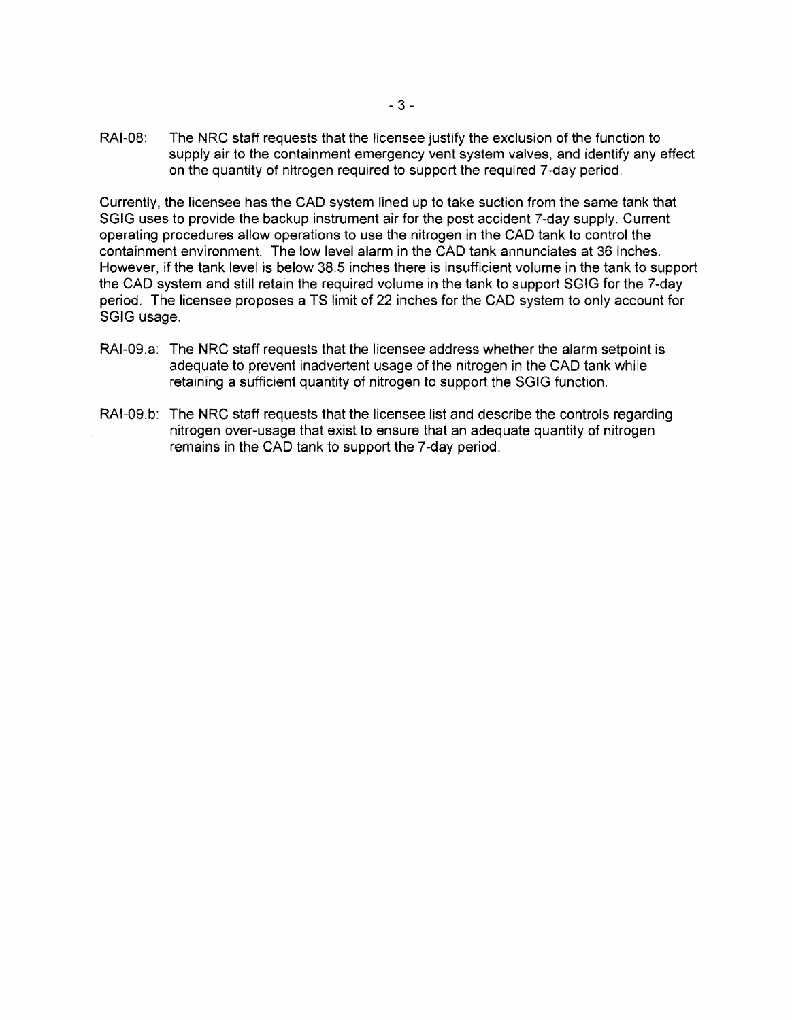RAI-08: The NRC staff requests that the licensee justify the exclusion of the function to supply air to the containment emergency vent system valves, and identify any effect on the quantity of nitrogen required to support the required 7-day period.

Currently, the licensee has the CAD system lined up to take suction from the same tank that SGIG uses to provide the backup instrument air for the post accident 7 -day supply. Current operating procedures allow operations to use the nitrogen in the CAD tank to control the containment environment. The low level alarm in the CAD tank annunciates at 36 inches. However, if the tank level is below 38.5 inches there is insufficient volume in the tank to support the CAD system and still retain the required volume in the tank to support SGIG for the 7-day period. The licensee proposes a TS limit of 22 inches for the CAD system to only account for SGIG usage.

- RAI-09.a: The NRC staff requests that the licensee address whether the alarm setpoint is adequate to prevent inadvertent usage of the nitrogen in the CAD tank while retaining a sufficient quantity of nitrogen to support the SGIG function.
- RAI-09.b: The NRC staff requests that the licensee list and describe the controls regarding nitrogen over-usage that exist to ensure that an adequate quantity of nitrogen remains in the CAD tank to support the 7-day period.